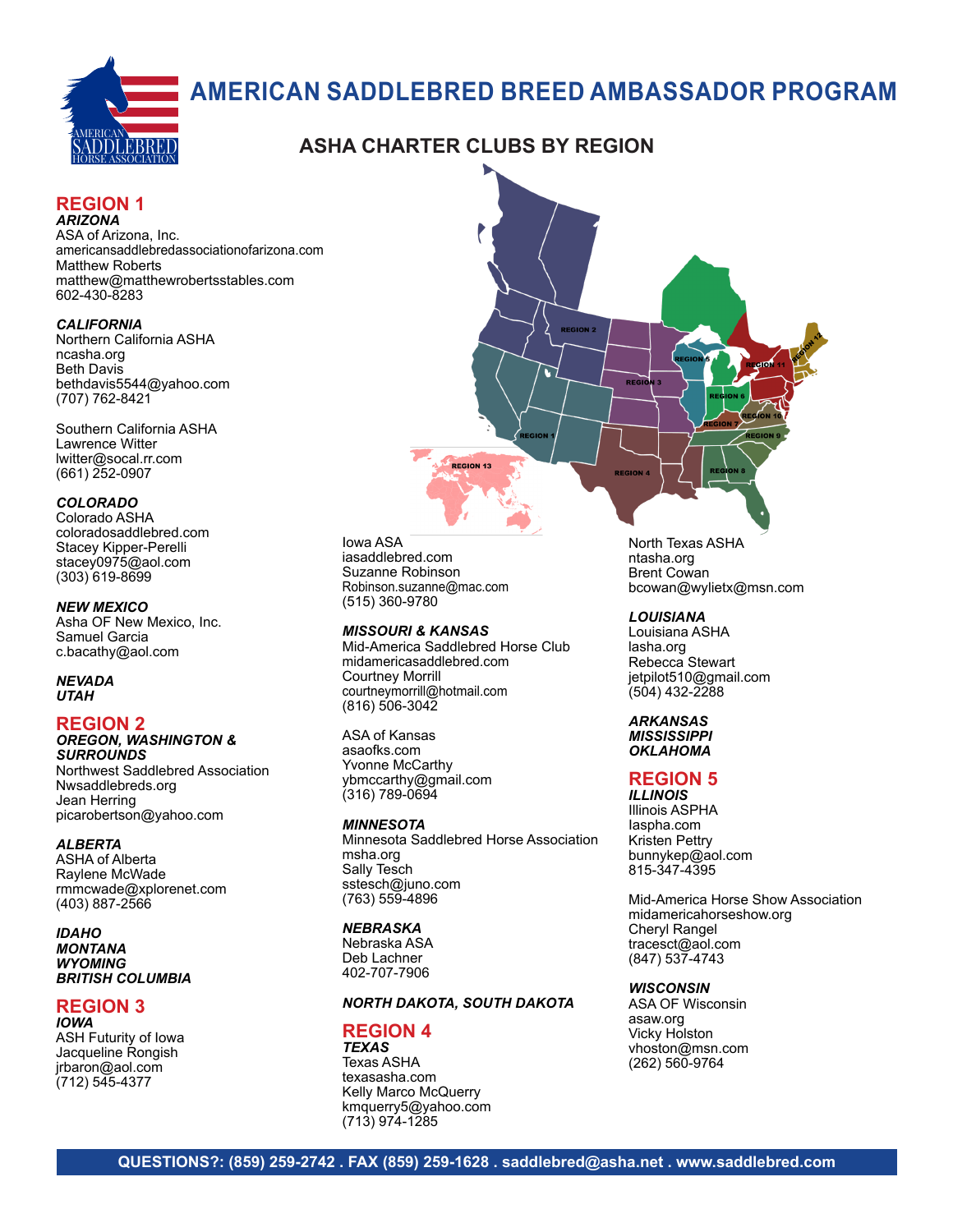

# **AMERICAN SADDLEBRED BREED AMBASSADOR PROGRAM**

# **ASHA CHARTER CLUBS BY REGION**

#### **REGION 1** *ARIZONA*

ASA of Arizona, Inc. americansaddlebredassociationofarizona.com Matthew Roberts matthew@matthewrobertsstables.com 602-430-8283

#### *CALIFORNIA*

Northern California ASHA ncasha.org Beth Davis bethdavis5544@yahoo.com (707) 762-8421

Southern California ASHA Lawrence Witter lwitter@socal.rr.com (661) 252-0907

#### *COLORADO*

Colorado ASHA coloradosaddlebred.com Stacey Kipper-Perelli stacey0975@aol.com (303) 619-8699

#### *NEW MEXICO*

Asha OF New Mexico, Inc. Samuel Garcia c.bacathy@aol.com

*NEVADA UTAH*

### **REGION 2**

#### *OREGON, WASHINGTON & SURROUNDS*

Northwest Saddlebred Association Nwsaddlebreds.org Jean Herring picarobertson@yahoo.com

#### *ALBERTA*

ASHA of Alberta Raylene McWade rmmcwade@xplorenet.com (403) 887-2566

*IDAHO MONTANA WYOMING BRITISH COLUMBIA*

### **REGION 3**

*IOWA* ASH Futurity of Iowa Jacqueline Rongish jrbaron@aol.com (712) 545-4377



#### *MISSOURI & KANSAS*

Mid-America Saddlebred Horse Club midamericasaddlebred.com Courtney Morrill courtneymorrill@hotmail.com (816) 506-3042

**REGION 13** 

ASA of Kansas asaofks.com Yvonne McCarthy ybmccarthy@gmail.com (316) 789-0694

#### *MINNESOTA*

Minnesota Saddlebred Horse Association msha.org Sally Tesch sstesch@juno.com (763) 559-4896

#### *NEBRASKA*

Nebraska ASA Deb Lachner 402-707-7906

#### *NORTH DAKOTA, SOUTH DAKOTA*

#### **REGION 4** *TEXAS*

Texas ASHA texasasha.com Kelly Marco McQuerry kmquerry5@yahoo.com (713) 974-1285

North Texas ASHA ntasha.org Brent Cowan bcowan@wylietx@msn.com

#### *LOUISIANA*

Louisiana ASHA lasha.org Rebecca Stewart jetpilot510@gmail.com (504) 432-2288

#### *ARKANSAS MISSISSIPPI OKLAHOMA*

### **REGION 5**

*ILLINOIS* Illinois ASPHA Iaspha.com Kristen Pettry bunnykep@aol.com 815-347-4395

Mid-America Horse Show Association midamericahorseshow.org Cheryl Rangel tracesct@aol.com (847) 537-4743

#### *WISCONSIN*

ASA OF Wisconsin asaw.org Vicky Holston vhoston@msn.com (262) 560-9764